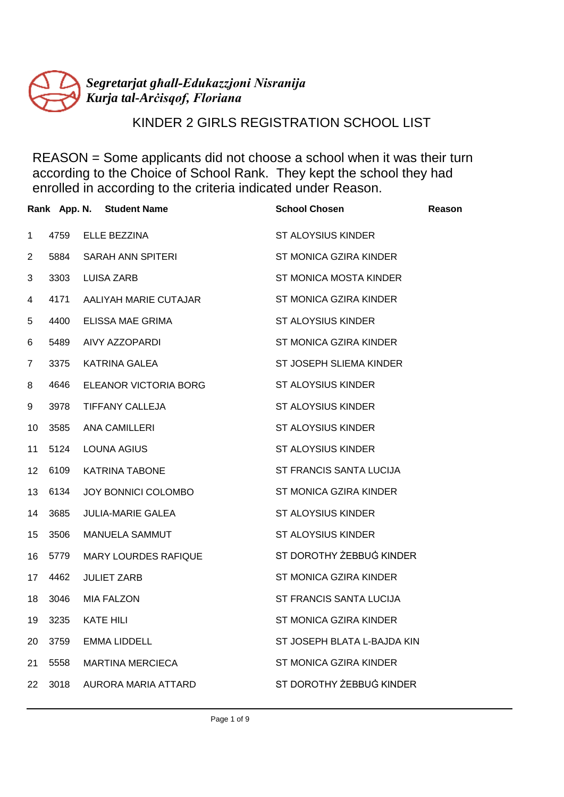

# KINDER 2 GIRLS REGISTRATION SCHOOL LIST

|                |      | Rank App. N. Student Name   | <b>School Chosen</b>        | Reason |
|----------------|------|-----------------------------|-----------------------------|--------|
| $\mathbf{1}$   | 4759 | ELLE BEZZINA                | <b>ST ALOYSIUS KINDER</b>   |        |
| $\overline{2}$ | 5884 | SARAH ANN SPITERI           | ST MONICA GZIRA KINDER      |        |
| 3              | 3303 | <b>LUISA ZARB</b>           | ST MONICA MOSTA KINDER      |        |
| 4              | 4171 | AALIYAH MARIE CUTAJAR       | ST MONICA GZIRA KINDER      |        |
| 5              | 4400 | ELISSA MAE GRIMA            | ST ALOYSIUS KINDER          |        |
| 6              | 5489 | AIVY AZZOPARDI              | ST MONICA GZIRA KINDER      |        |
| 7              | 3375 | <b>KATRINA GALEA</b>        | ST JOSEPH SLIEMA KINDER     |        |
| 8              | 4646 | ELEANOR VICTORIA BORG       | <b>ST ALOYSIUS KINDER</b>   |        |
| 9              | 3978 | TIFFANY CALLEJA             | <b>ST ALOYSIUS KINDER</b>   |        |
| 10             | 3585 | <b>ANA CAMILLERI</b>        | <b>ST ALOYSIUS KINDER</b>   |        |
| 11             | 5124 | <b>LOUNA AGIUS</b>          | <b>ST ALOYSIUS KINDER</b>   |        |
| 12             | 6109 | KATRINA TABONE              | ST FRANCIS SANTA LUCIJA     |        |
| 13             | 6134 | JOY BONNICI COLOMBO         | ST MONICA GZIRA KINDER      |        |
| 14             | 3685 | <b>JULIA-MARIE GALEA</b>    | <b>ST ALOYSIUS KINDER</b>   |        |
| 15             | 3506 | MANUELA SAMMUT              | <b>ST ALOYSIUS KINDER</b>   |        |
| 16             | 5779 | <b>MARY LOURDES RAFIQUE</b> | ST DOROTHY ŻEBBUĠ KINDER    |        |
| 17             | 4462 | <b>JULIET ZARB</b>          | ST MONICA GZIRA KINDER      |        |
| 18             | 3046 | <b>MIA FALZON</b>           | ST FRANCIS SANTA LUCIJA     |        |
| 19             | 3235 | KATE HILI                   | ST MONICA GZIRA KINDER      |        |
| 20             | 3759 | <b>EMMA LIDDELL</b>         | ST JOSEPH BLATA L-BAJDA KIN |        |
| 21             | 5558 | <b>MARTINA MERCIECA</b>     | ST MONICA GZIRA KINDER      |        |
| 22             | 3018 | AURORA MARIA ATTARD         | ST DOROTHY ŻEBBUĠ KINDER    |        |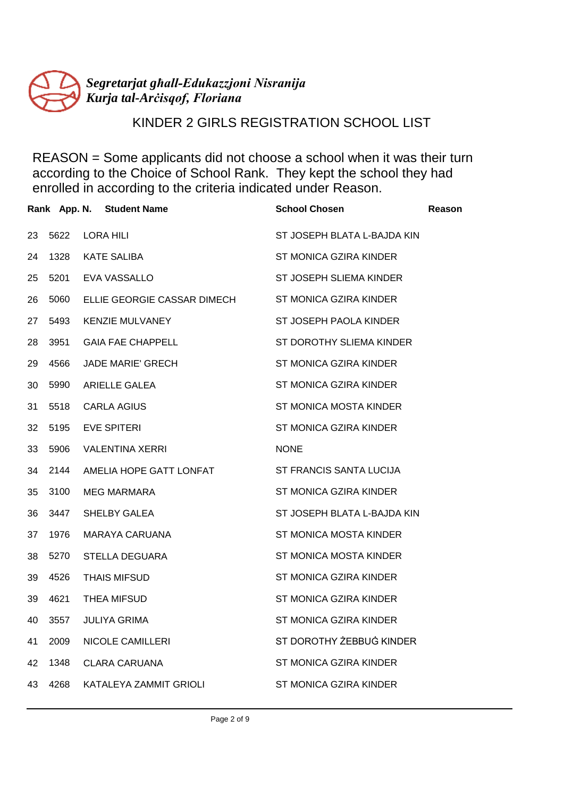

# KINDER 2 GIRLS REGISTRATION SCHOOL LIST

|    |      | Rank App. N. Student Name   | <b>School Chosen</b>        | Reason |
|----|------|-----------------------------|-----------------------------|--------|
| 23 | 5622 | LORA HILI                   | ST JOSEPH BLATA L-BAJDA KIN |        |
| 24 | 1328 | <b>KATE SALIBA</b>          | ST MONICA GZIRA KINDER      |        |
| 25 | 5201 | EVA VASSALLO                | ST JOSEPH SLIEMA KINDER     |        |
| 26 | 5060 | ELLIE GEORGIE CASSAR DIMECH | ST MONICA GZIRA KINDER      |        |
| 27 | 5493 | <b>KENZIE MULVANEY</b>      | ST JOSEPH PAOLA KINDER      |        |
| 28 | 3951 | <b>GAIA FAE CHAPPELL</b>    | ST DOROTHY SLIEMA KINDER    |        |
| 29 | 4566 | JADE MARIE' GRECH           | ST MONICA GZIRA KINDER      |        |
| 30 | 5990 | <b>ARIELLE GALEA</b>        | ST MONICA GZIRA KINDER      |        |
| 31 | 5518 | <b>CARLA AGIUS</b>          | ST MONICA MOSTA KINDER      |        |
| 32 | 5195 | <b>EVE SPITERI</b>          | ST MONICA GZIRA KINDER      |        |
| 33 | 5906 | <b>VALENTINA XERRI</b>      | <b>NONE</b>                 |        |
| 34 | 2144 | AMELIA HOPE GATT LONFAT     | ST FRANCIS SANTA LUCIJA     |        |
| 35 | 3100 | MEG MARMARA                 | ST MONICA GZIRA KINDER      |        |
| 36 | 3447 | SHELBY GALEA                | ST JOSEPH BLATA L-BAJDA KIN |        |
| 37 | 1976 | MARAYA CARUANA              | ST MONICA MOSTA KINDER      |        |
| 38 | 5270 | STELLA DEGUARA              | ST MONICA MOSTA KINDER      |        |
| 39 | 4526 | <b>THAIS MIFSUD</b>         | ST MONICA GZIRA KINDER      |        |
| 39 | 4621 | THEA MIFSUD                 | ST MONICA GZIRA KINDER      |        |
| 40 | 3557 | <b>JULIYA GRIMA</b>         | ST MONICA GZIRA KINDER      |        |
| 41 | 2009 | NICOLE CAMILLERI            | ST DOROTHY ŻEBBUĠ KINDER    |        |
| 42 | 1348 | CLARA CARUANA               | ST MONICA GZIRA KINDER      |        |
| 43 | 4268 | KATALEYA ZAMMIT GRIOLI      | ST MONICA GZIRA KINDER      |        |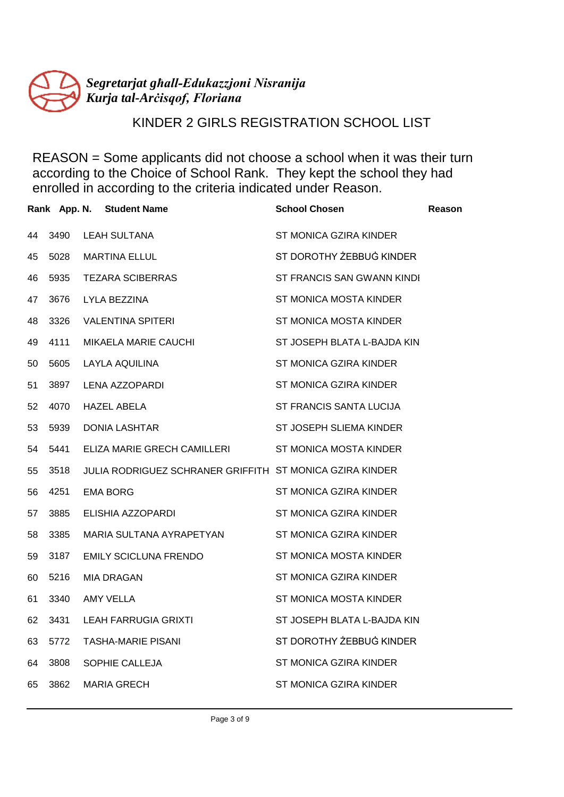

# KINDER 2 GIRLS REGISTRATION SCHOOL LIST

|    |      | Rank App. N. Student Name                                | <b>School Chosen</b>        | Reason |
|----|------|----------------------------------------------------------|-----------------------------|--------|
| 44 | 3490 | <b>LEAH SULTANA</b>                                      | ST MONICA GZIRA KINDER      |        |
| 45 | 5028 | <b>MARTINA ELLUL</b>                                     | ST DOROTHY ŻEBBUG KINDER    |        |
| 46 | 5935 | <b>TEZARA SCIBERRAS</b>                                  | ST FRANCIS SAN GWANN KINDI  |        |
| 47 | 3676 | LYLA BEZZINA                                             | ST MONICA MOSTA KINDER      |        |
| 48 | 3326 | VALENTINA SPITERI                                        | ST MONICA MOSTA KINDER      |        |
| 49 | 4111 | MIKAELA MARIE CAUCHI                                     | ST JOSEPH BLATA L-BAJDA KIN |        |
| 50 | 5605 | LAYLA AQUILINA                                           | ST MONICA GZIRA KINDER      |        |
| 51 | 3897 | LENA AZZOPARDI                                           | ST MONICA GZIRA KINDER      |        |
| 52 | 4070 | <b>HAZEL ABELA</b>                                       | ST FRANCIS SANTA LUCIJA     |        |
| 53 | 5939 | <b>DONIA LASHTAR</b>                                     | ST JOSEPH SLIEMA KINDER     |        |
| 54 | 5441 | ELIZA MARIE GRECH CAMILLERI ST MONICA MOSTA KINDER       |                             |        |
| 55 | 3518 | JULIA RODRIGUEZ SCHRANER GRIFFITH ST MONICA GZIRA KINDER |                             |        |
| 56 | 4251 | <b>EMA BORG</b>                                          | ST MONICA GZIRA KINDER      |        |
| 57 | 3885 | ELISHIA AZZOPARDI                                        | ST MONICA GZIRA KINDER      |        |
| 58 | 3385 | MARIA SULTANA AYRAPETYAN                                 | ST MONICA GZIRA KINDER      |        |
| 59 | 3187 | EMILY SCICLUNA FRENDO                                    | ST MONICA MOSTA KINDER      |        |
| 60 | 5216 | MIA DRAGAN                                               | ST MONICA GZIRA KINDER      |        |
| 61 | 3340 | <b>AMY VELLA</b>                                         | ST MONICA MOSTA KINDER      |        |
| 62 | 3431 | LEAH FARRUGIA GRIXTI                                     | ST JOSEPH BLATA L-BAJDA KIN |        |
| 63 | 5772 | <b>TASHA-MARIE PISANI</b>                                | ST DOROTHY ŻEBBUĠ KINDER    |        |
| 64 | 3808 | SOPHIE CALLEJA                                           | ST MONICA GZIRA KINDER      |        |
| 65 | 3862 | <b>MARIA GRECH</b>                                       | ST MONICA GZIRA KINDER      |        |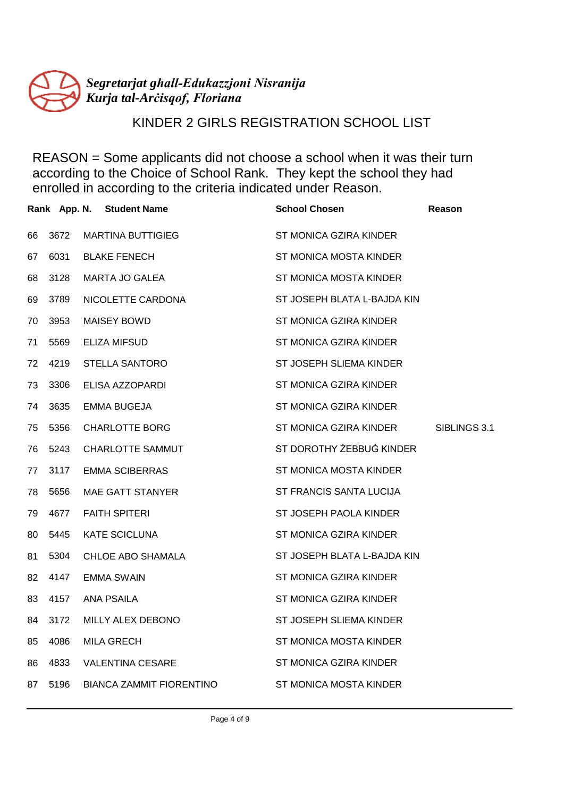

# KINDER 2 GIRLS REGISTRATION SCHOOL LIST

|    |      | Rank App. N. Student Name       | <b>School Chosen</b>        | Reason       |
|----|------|---------------------------------|-----------------------------|--------------|
| 66 | 3672 | <b>MARTINA BUTTIGIEG</b>        | ST MONICA GZIRA KINDER      |              |
| 67 | 6031 | <b>BLAKE FENECH</b>             | ST MONICA MOSTA KINDER      |              |
| 68 | 3128 | MARTA JO GALEA                  | ST MONICA MOSTA KINDER      |              |
| 69 | 3789 | NICOLETTE CARDONA               | ST JOSEPH BLATA L-BAJDA KIN |              |
| 70 | 3953 | <b>MAISEY BOWD</b>              | ST MONICA GZIRA KINDER      |              |
| 71 | 5569 | ELIZA MIFSUD                    | ST MONICA GZIRA KINDER      |              |
| 72 | 4219 | <b>STELLA SANTORO</b>           | ST JOSEPH SLIEMA KINDER     |              |
| 73 | 3306 | ELISA AZZOPARDI                 | ST MONICA GZIRA KINDER      |              |
| 74 | 3635 | <b>EMMA BUGEJA</b>              | ST MONICA GZIRA KINDER      |              |
| 75 | 5356 | <b>CHARLOTTE BORG</b>           | ST MONICA GZIRA KINDER      | SIBLINGS 3.1 |
| 76 | 5243 | <b>CHARLOTTE SAMMUT</b>         | ST DOROTHY ŻEBBUG KINDER    |              |
| 77 | 3117 | <b>EMMA SCIBERRAS</b>           | ST MONICA MOSTA KINDER      |              |
| 78 | 5656 | MAE GATT STANYER                | ST FRANCIS SANTA LUCIJA     |              |
| 79 | 4677 | <b>FAITH SPITERI</b>            | ST JOSEPH PAOLA KINDER      |              |
| 80 | 5445 | <b>KATE SCICLUNA</b>            | ST MONICA GZIRA KINDER      |              |
| 81 | 5304 | CHLOE ABO SHAMALA               | ST JOSEPH BLATA L-BAJDA KIN |              |
| 82 | 4147 | <b>EMMA SWAIN</b>               | ST MONICA GZIRA KINDER      |              |
| 83 | 4157 | <b>ANA PSAILA</b>               | ST MONICA GZIRA KINDER      |              |
| 84 | 3172 | MILLY ALEX DEBONO               | ST JOSEPH SLIEMA KINDER     |              |
| 85 | 4086 | <b>MILA GRECH</b>               | ST MONICA MOSTA KINDER      |              |
| 86 | 4833 | <b>VALENTINA CESARE</b>         | ST MONICA GZIRA KINDER      |              |
| 87 | 5196 | <b>BIANCA ZAMMIT FIORENTINO</b> | ST MONICA MOSTA KINDER      |              |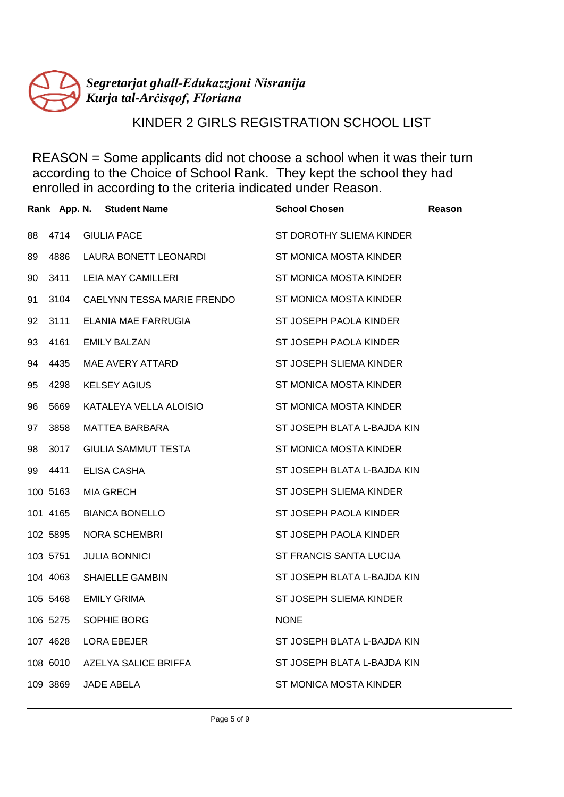

# KINDER 2 GIRLS REGISTRATION SCHOOL LIST

|    |          | Rank App. N. Student Name  | <b>School Chosen</b>        | Reason |
|----|----------|----------------------------|-----------------------------|--------|
| 88 | 4714     | <b>GIULIA PACE</b>         | ST DOROTHY SLIEMA KINDER    |        |
| 89 | 4886     | LAURA BONETT LEONARDI      | ST MONICA MOSTA KINDER      |        |
| 90 | 3411     | <b>LEIA MAY CAMILLERI</b>  | ST MONICA MOSTA KINDER      |        |
| 91 | 3104     | CAELYNN TESSA MARIE FRENDO | ST MONICA MOSTA KINDER      |        |
| 92 | 3111     | ELANIA MAE FARRUGIA        | ST JOSEPH PAOLA KINDER      |        |
| 93 | 4161     | <b>EMILY BALZAN</b>        | ST JOSEPH PAOLA KINDER      |        |
| 94 | 4435     | MAE AVERY ATTARD           | ST JOSEPH SLIEMA KINDER     |        |
| 95 | 4298     | <b>KELSEY AGIUS</b>        | ST MONICA MOSTA KINDER      |        |
| 96 | 5669     | KATALEYA VELLA ALOISIO     | ST MONICA MOSTA KINDER      |        |
| 97 | 3858     | MATTEA BARBARA             | ST JOSEPH BLATA L-BAJDA KIN |        |
| 98 | 3017     | GIULIA SAMMUT TESTA        | ST MONICA MOSTA KINDER      |        |
| 99 | 4411     | <b>ELISA CASHA</b>         | ST JOSEPH BLATA L-BAJDA KIN |        |
|    | 100 5163 | <b>MIA GRECH</b>           | ST JOSEPH SLIEMA KINDER     |        |
|    | 101 4165 | <b>BIANCA BONELLO</b>      | ST JOSEPH PAOLA KINDER      |        |
|    | 102 5895 | NORA SCHEMBRI              | ST JOSEPH PAOLA KINDER      |        |
|    | 103 5751 | <b>JULIA BONNICI</b>       | ST FRANCIS SANTA LUCIJA     |        |
|    | 104 4063 | <b>SHAIELLE GAMBIN</b>     | ST JOSEPH BLATA L-BAJDA KIN |        |
|    | 105 5468 | <b>EMILY GRIMA</b>         | ST JOSEPH SLIEMA KINDER     |        |
|    | 106 5275 | SOPHIE BORG                | <b>NONE</b>                 |        |
|    | 107 4628 | <b>LORA EBEJER</b>         | ST JOSEPH BLATA L-BAJDA KIN |        |
|    | 108 6010 | AZELYA SALICE BRIFFA       | ST JOSEPH BLATA L-BAJDA KIN |        |
|    | 109 3869 | <b>JADE ABELA</b>          | ST MONICA MOSTA KINDER      |        |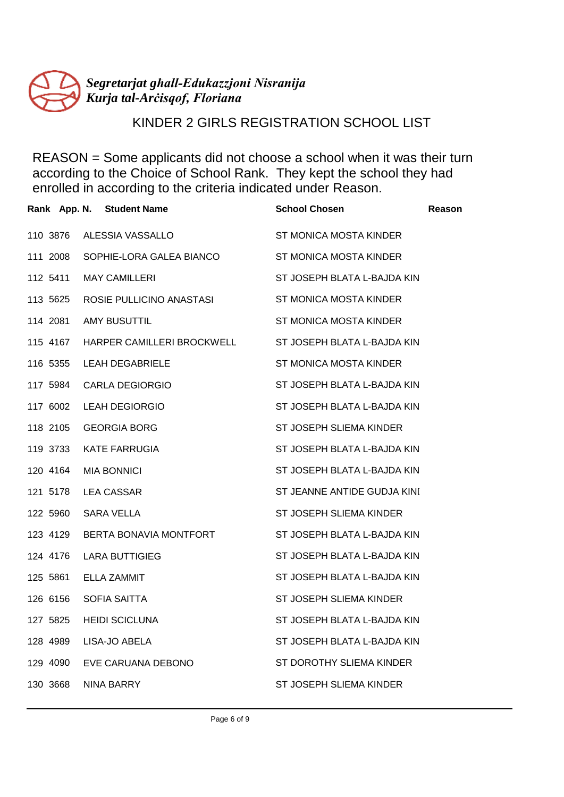

# KINDER 2 GIRLS REGISTRATION SCHOOL LIST

|          | Rank App. N. Student Name  | <b>School Chosen</b>        | <b>Reason</b> |
|----------|----------------------------|-----------------------------|---------------|
| 110 3876 | ALESSIA VASSALLO           | ST MONICA MOSTA KINDER      |               |
| 111 2008 | SOPHIE-LORA GALEA BIANCO   | ST MONICA MOSTA KINDER      |               |
| 112 5411 | <b>MAY CAMILLERI</b>       | ST JOSEPH BLATA L-BAJDA KIN |               |
| 113 5625 | ROSIE PULLICINO ANASTASI   | ST MONICA MOSTA KINDER      |               |
| 114 2081 | <b>AMY BUSUTTIL</b>        | ST MONICA MOSTA KINDER      |               |
| 115 4167 | HARPER CAMILLERI BROCKWELL | ST JOSEPH BLATA L-BAJDA KIN |               |
| 116 5355 | <b>LEAH DEGABRIELE</b>     | ST MONICA MOSTA KINDER      |               |
| 117 5984 | <b>CARLA DEGIORGIO</b>     | ST JOSEPH BLATA L-BAJDA KIN |               |
| 117 6002 | <b>LEAH DEGIORGIO</b>      | ST JOSEPH BLATA L-BAJDA KIN |               |
| 118 2105 | <b>GEORGIA BORG</b>        | ST JOSEPH SLIEMA KINDER     |               |
| 119 3733 | <b>KATE FARRUGIA</b>       | ST JOSEPH BLATA L-BAJDA KIN |               |
| 120 4164 | <b>MIA BONNICI</b>         | ST JOSEPH BLATA L-BAJDA KIN |               |
| 121 5178 | LEA CASSAR                 | ST JEANNE ANTIDE GUDJA KINI |               |
| 122 5960 | SARA VELLA                 | ST JOSEPH SLIEMA KINDER     |               |
| 123 4129 | BERTA BONAVIA MONTFORT     | ST JOSEPH BLATA L-BAJDA KIN |               |
| 124 4176 | <b>LARA BUTTIGIEG</b>      | ST JOSEPH BLATA L-BAJDA KIN |               |
| 125 5861 | ELLA ZAMMIT                | ST JOSEPH BLATA L-BAJDA KIN |               |
| 126 6156 | <b>SOFIA SAITTA</b>        | ST JOSEPH SLIEMA KINDER     |               |
| 127 5825 | <b>HEIDI SCICLUNA</b>      | ST JOSEPH BLATA L-BAJDA KIN |               |
| 128 4989 | LISA-JO ABELA              | ST JOSEPH BLATA L-BAJDA KIN |               |
| 129 4090 | EVE CARUANA DEBONO         | ST DOROTHY SLIEMA KINDER    |               |
| 130 3668 | <b>NINA BARRY</b>          | ST JOSEPH SLIEMA KINDER     |               |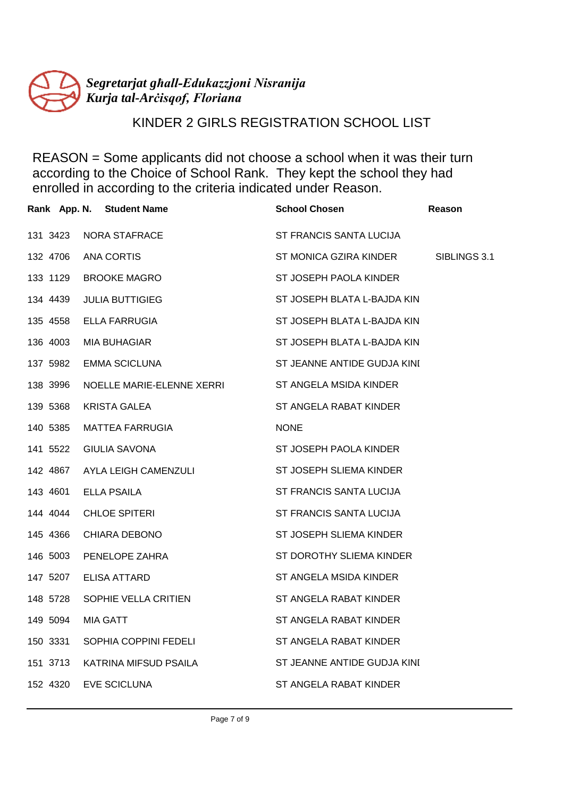

# KINDER 2 GIRLS REGISTRATION SCHOOL LIST

|          | Rank App. N. Student Name | <b>School Chosen</b>        | Reason       |
|----------|---------------------------|-----------------------------|--------------|
| 131 3423 | <b>NORA STAFRACE</b>      | ST FRANCIS SANTA LUCIJA     |              |
| 132 4706 | <b>ANA CORTIS</b>         | ST MONICA GZIRA KINDER      | SIBLINGS 3.1 |
| 133 1129 | <b>BROOKE MAGRO</b>       | ST JOSEPH PAOLA KINDER      |              |
| 134 4439 | <b>JULIA BUTTIGIEG</b>    | ST JOSEPH BLATA L-BAJDA KIN |              |
| 135 4558 | ELLA FARRUGIA             | ST JOSEPH BLATA L-BAJDA KIN |              |
| 136 4003 | <b>MIA BUHAGIAR</b>       | ST JOSEPH BLATA L-BAJDA KIN |              |
| 137 5982 | <b>EMMA SCICLUNA</b>      | ST JEANNE ANTIDE GUDJA KINI |              |
| 138 3996 | NOELLE MARIE-ELENNE XERRI | ST ANGELA MSIDA KINDER      |              |
| 139 5368 | KRISTA GALEA              | ST ANGELA RABAT KINDER      |              |
| 140 5385 | MATTEA FARRUGIA           | <b>NONE</b>                 |              |
| 141 5522 | <b>GIULIA SAVONA</b>      | ST JOSEPH PAOLA KINDER      |              |
| 142 4867 | AYLA LEIGH CAMENZULI      | ST JOSEPH SLIEMA KINDER     |              |
| 143 4601 | <b>ELLA PSAILA</b>        | ST FRANCIS SANTA LUCIJA     |              |
| 144 4044 | <b>CHLOE SPITERI</b>      | ST FRANCIS SANTA LUCIJA     |              |
| 145 4366 | CHIARA DEBONO             | ST JOSEPH SLIEMA KINDER     |              |
| 146 5003 | PENELOPE ZAHRA            | ST DOROTHY SLIEMA KINDER    |              |
| 147 5207 | <b>ELISA ATTARD</b>       | ST ANGELA MSIDA KINDER      |              |
| 148 5728 | SOPHIE VELLA CRITIEN      | ST ANGELA RABAT KINDER      |              |
| 149 5094 | <b>MIA GATT</b>           | ST ANGELA RABAT KINDER      |              |
| 150 3331 | SOPHIA COPPINI FEDELI     | ST ANGELA RABAT KINDER      |              |
| 151 3713 | KATRINA MIFSUD PSAILA     | ST JEANNE ANTIDE GUDJA KINI |              |
| 152 4320 | EVE SCICLUNA              | ST ANGELA RABAT KINDER      |              |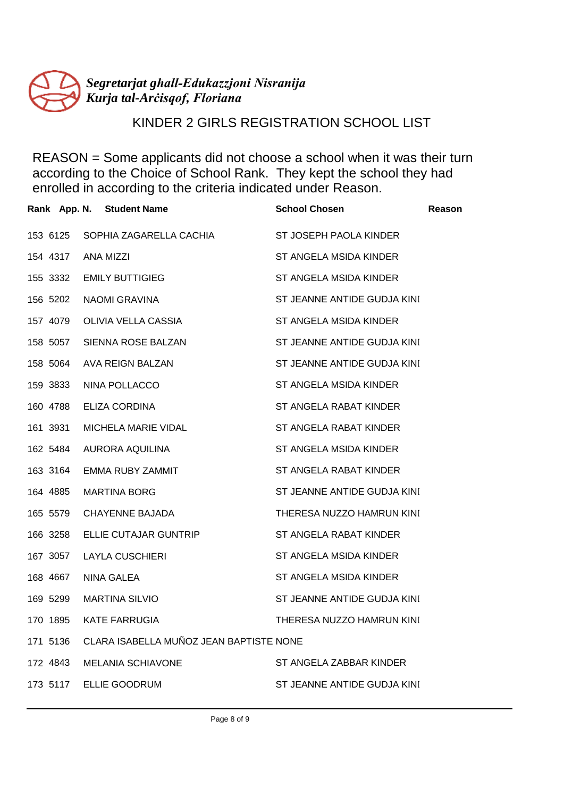

# KINDER 2 GIRLS REGISTRATION SCHOOL LIST

|          | Rank App. N. Student Name               | <b>School Chosen</b>        | <b>Reason</b> |
|----------|-----------------------------------------|-----------------------------|---------------|
| 153 6125 | SOPHIA ZAGARELLA CACHIA                 | ST JOSEPH PAOLA KINDER      |               |
| 154 4317 | ANA MIZZI                               | ST ANGELA MSIDA KINDER      |               |
| 155 3332 | <b>EMILY BUTTIGIEG</b>                  | ST ANGELA MSIDA KINDER      |               |
| 156 5202 | NAOMI GRAVINA                           | ST JEANNE ANTIDE GUDJA KINI |               |
| 157 4079 | OLIVIA VELLA CASSIA                     | ST ANGELA MSIDA KINDER      |               |
| 158 5057 | SIENNA ROSE BALZAN                      | ST JEANNE ANTIDE GUDJA KINI |               |
| 158 5064 | AVA REIGN BALZAN                        | ST JEANNE ANTIDE GUDJA KINI |               |
| 159 3833 | NINA POLLACCO                           | ST ANGELA MSIDA KINDER      |               |
| 160 4788 | ELIZA CORDINA                           | ST ANGELA RABAT KINDER      |               |
| 161 3931 | MICHELA MARIE VIDAL                     | ST ANGELA RABAT KINDER      |               |
| 162 5484 | AURORA AQUILINA                         | ST ANGELA MSIDA KINDER      |               |
| 163 3164 | EMMA RUBY ZAMMIT                        | ST ANGELA RABAT KINDER      |               |
| 164 4885 | <b>MARTINA BORG</b>                     | ST JEANNE ANTIDE GUDJA KINI |               |
| 165 5579 | CHAYENNE BAJADA                         | THERESA NUZZO HAMRUN KINI   |               |
| 166 3258 | ELLIE CUTAJAR GUNTRIP                   | ST ANGELA RABAT KINDER      |               |
| 167 3057 | LAYLA CUSCHIERI                         | ST ANGELA MSIDA KINDER      |               |
| 168 4667 | NINA GALEA                              | ST ANGELA MSIDA KINDER      |               |
| 169 5299 | <b>MARTINA SILVIO</b>                   | ST JEANNE ANTIDE GUDJA KINI |               |
| 170 1895 | <b>KATE FARRUGIA</b>                    | THERESA NUZZO HAMRUN KINI   |               |
| 171 5136 | CLARA ISABELLA MUÑOZ JEAN BAPTISTE NONE |                             |               |
| 172 4843 | <b>MELANIA SCHIAVONE</b>                | ST ANGELA ZABBAR KINDER     |               |
| 173 5117 | ELLIE GOODRUM                           | ST JEANNE ANTIDE GUDJA KINI |               |